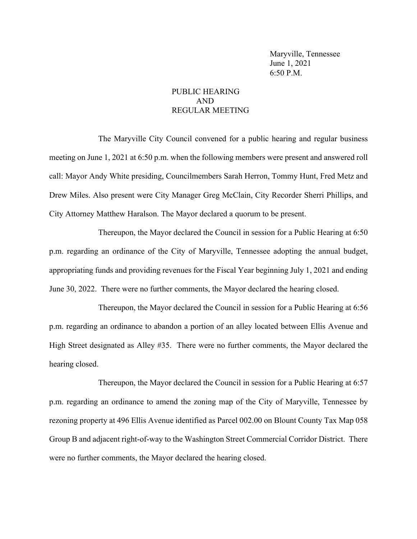Maryville, Tennessee June 1, 2021 6:50 P.M.

### PUBLIC HEARING AND REGULAR MEETING

The Maryville City Council convened for a public hearing and regular business meeting on June 1, 2021 at 6:50 p.m. when the following members were present and answered roll call: Mayor Andy White presiding, Councilmembers Sarah Herron, Tommy Hunt, Fred Metz and Drew Miles. Also present were City Manager Greg McClain, City Recorder Sherri Phillips, and City Attorney Matthew Haralson. The Mayor declared a quorum to be present.

Thereupon, the Mayor declared the Council in session for a Public Hearing at 6:50 p.m. regarding an ordinance of the City of Maryville, Tennessee adopting the annual budget, appropriating funds and providing revenues for the Fiscal Year beginning July 1, 2021 and ending June 30, 2022. There were no further comments, the Mayor declared the hearing closed.

Thereupon, the Mayor declared the Council in session for a Public Hearing at 6:56 p.m. regarding an ordinance to abandon a portion of an alley located between Ellis Avenue and High Street designated as Alley #35. There were no further comments, the Mayor declared the hearing closed.

Thereupon, the Mayor declared the Council in session for a Public Hearing at 6:57 p.m. regarding an ordinance to amend the zoning map of the City of Maryville, Tennessee by rezoning property at 496 Ellis Avenue identified as Parcel 002.00 on Blount County Tax Map 058 Group B and adjacent right-of-way to the Washington Street Commercial Corridor District. There were no further comments, the Mayor declared the hearing closed.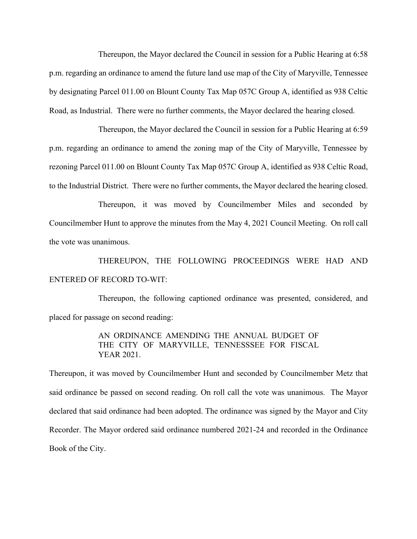Thereupon, the Mayor declared the Council in session for a Public Hearing at 6:58 p.m. regarding an ordinance to amend the future land use map of the City of Maryville, Tennessee by designating Parcel 011.00 on Blount County Tax Map 057C Group A, identified as 938 Celtic Road, as Industrial. There were no further comments, the Mayor declared the hearing closed.

Thereupon, the Mayor declared the Council in session for a Public Hearing at 6:59 p.m. regarding an ordinance to amend the zoning map of the City of Maryville, Tennessee by rezoning Parcel 011.00 on Blount County Tax Map 057C Group A, identified as 938 Celtic Road, to the Industrial District. There were no further comments, the Mayor declared the hearing closed.

Thereupon, it was moved by Councilmember Miles and seconded by Councilmember Hunt to approve the minutes from the May 4, 2021 Council Meeting. On roll call the vote was unanimous.

THEREUPON, THE FOLLOWING PROCEEDINGS WERE HAD AND ENTERED OF RECORD TO-WIT:

Thereupon, the following captioned ordinance was presented, considered, and placed for passage on second reading:

> AN ORDINANCE AMENDING THE ANNUAL BUDGET OF THE CITY OF MARYVILLE, TENNESSSEE FOR FISCAL YEAR 2021.

Thereupon, it was moved by Councilmember Hunt and seconded by Councilmember Metz that said ordinance be passed on second reading. On roll call the vote was unanimous. The Mayor declared that said ordinance had been adopted. The ordinance was signed by the Mayor and City Recorder. The Mayor ordered said ordinance numbered 2021-24 and recorded in the Ordinance Book of the City.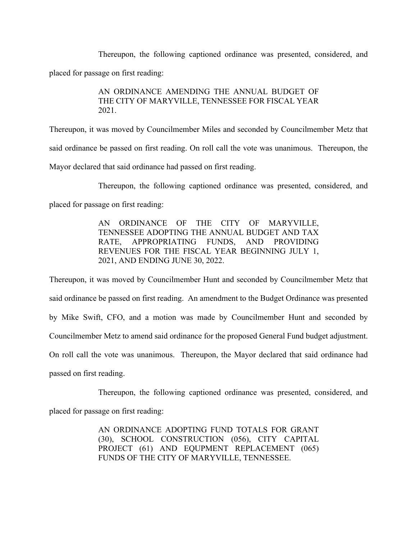Thereupon, the following captioned ordinance was presented, considered, and placed for passage on first reading:

### AN ORDINANCE AMENDING THE ANNUAL BUDGET OF THE CITY OF MARYVILLE, TENNESSEE FOR FISCAL YEAR 2021.

Thereupon, it was moved by Councilmember Miles and seconded by Councilmember Metz that said ordinance be passed on first reading. On roll call the vote was unanimous. Thereupon, the Mayor declared that said ordinance had passed on first reading.

Thereupon, the following captioned ordinance was presented, considered, and placed for passage on first reading:

> AN ORDINANCE OF THE CITY OF MARYVILLE, TENNESSEE ADOPTING THE ANNUAL BUDGET AND TAX RATE, APPROPRIATING FUNDS, AND PROVIDING REVENUES FOR THE FISCAL YEAR BEGINNING JULY 1, 2021, AND ENDING JUNE 30, 2022.

Thereupon, it was moved by Councilmember Hunt and seconded by Councilmember Metz that said ordinance be passed on first reading. An amendment to the Budget Ordinance was presented by Mike Swift, CFO, and a motion was made by Councilmember Hunt and seconded by Councilmember Metz to amend said ordinance for the proposed General Fund budget adjustment. On roll call the vote was unanimous. Thereupon, the Mayor declared that said ordinance had passed on first reading.

Thereupon, the following captioned ordinance was presented, considered, and

placed for passage on first reading:

AN ORDINANCE ADOPTING FUND TOTALS FOR GRANT (30), SCHOOL CONSTRUCTION (056), CITY CAPITAL PROJECT (61) AND EQUPMENT REPLACEMENT (065) FUNDS OF THE CITY OF MARYVILLE, TENNESSEE.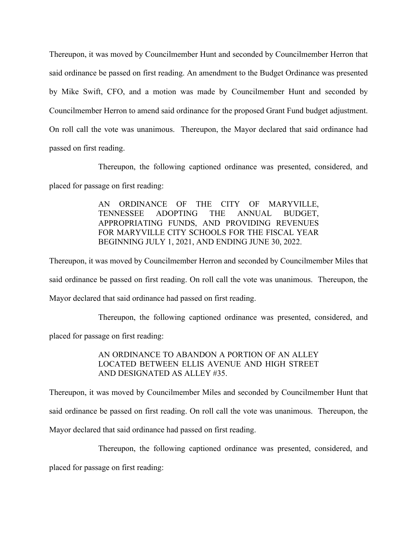Thereupon, it was moved by Councilmember Hunt and seconded by Councilmember Herron that said ordinance be passed on first reading. An amendment to the Budget Ordinance was presented by Mike Swift, CFO, and a motion was made by Councilmember Hunt and seconded by Councilmember Herron to amend said ordinance for the proposed Grant Fund budget adjustment. On roll call the vote was unanimous. Thereupon, the Mayor declared that said ordinance had passed on first reading.

Thereupon, the following captioned ordinance was presented, considered, and placed for passage on first reading:

> AN ORDINANCE OF THE CITY OF MARYVILLE, TENNESSEE ADOPTING THE ANNUAL BUDGET, APPROPRIATING FUNDS, AND PROVIDING REVENUES FOR MARYVILLE CITY SCHOOLS FOR THE FISCAL YEAR BEGINNING JULY 1, 2021, AND ENDING JUNE 30, 2022.

Thereupon, it was moved by Councilmember Herron and seconded by Councilmember Miles that said ordinance be passed on first reading. On roll call the vote was unanimous. Thereupon, the Mayor declared that said ordinance had passed on first reading.

Thereupon, the following captioned ordinance was presented, considered, and

placed for passage on first reading:

# AN ORDINANCE TO ABANDON A PORTION OF AN ALLEY LOCATED BETWEEN ELLIS AVENUE AND HIGH STREET AND DESIGNATED AS ALLEY #35.

Thereupon, it was moved by Councilmember Miles and seconded by Councilmember Hunt that said ordinance be passed on first reading. On roll call the vote was unanimous. Thereupon, the Mayor declared that said ordinance had passed on first reading.

Thereupon, the following captioned ordinance was presented, considered, and

placed for passage on first reading: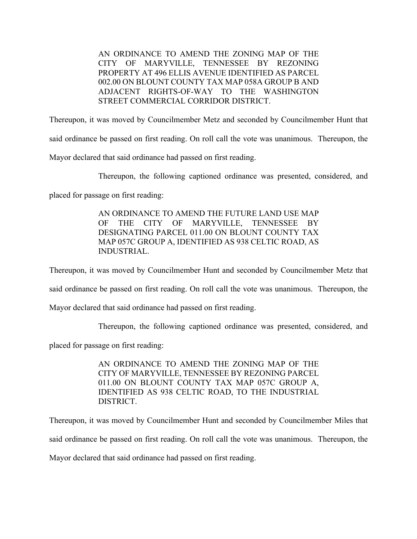AN ORDINANCE TO AMEND THE ZONING MAP OF THE CITY OF MARYVILLE, TENNESSEE BY REZONING PROPERTY AT 496 ELLIS AVENUE IDENTIFIED AS PARCEL 002.00 ON BLOUNT COUNTY TAX MAP 058A GROUP B AND ADJACENT RIGHTS-OF-WAY TO THE WASHINGTON STREET COMMERCIAL CORRIDOR DISTRICT.

Thereupon, it was moved by Councilmember Metz and seconded by Councilmember Hunt that

said ordinance be passed on first reading. On roll call the vote was unanimous. Thereupon, the

Mayor declared that said ordinance had passed on first reading.

Thereupon, the following captioned ordinance was presented, considered, and

placed for passage on first reading:

AN ORDINANCE TO AMEND THE FUTURE LAND USE MAP OF THE CITY OF MARYVILLE, TENNESSEE BY DESIGNATING PARCEL 011.00 ON BLOUNT COUNTY TAX MAP 057C GROUP A, IDENTIFIED AS 938 CELTIC ROAD, AS INDUSTRIAL.

Thereupon, it was moved by Councilmember Hunt and seconded by Councilmember Metz that

said ordinance be passed on first reading. On roll call the vote was unanimous. Thereupon, the

Mayor declared that said ordinance had passed on first reading.

Thereupon, the following captioned ordinance was presented, considered, and

placed for passage on first reading:

AN ORDINANCE TO AMEND THE ZONING MAP OF THE CITY OF MARYVILLE, TENNESSEE BY REZONING PARCEL 011.00 ON BLOUNT COUNTY TAX MAP 057C GROUP A, IDENTIFIED AS 938 CELTIC ROAD, TO THE INDUSTRIAL DISTRICT.

Thereupon, it was moved by Councilmember Hunt and seconded by Councilmember Miles that said ordinance be passed on first reading. On roll call the vote was unanimous. Thereupon, the Mayor declared that said ordinance had passed on first reading.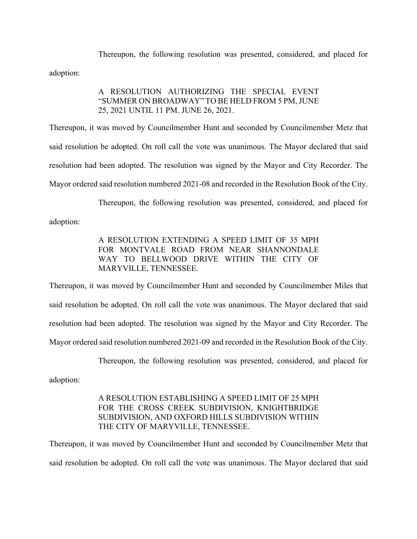Thereupon, the following resolution was presented, considered, and placed for adoption:

### A RESOLUTION AUTHORIZING THE SPECIAL EVENT "SUMMER ON BROADWAY" TO BE HELD FROM 5 PM, JUNE 25, 2021 UNTIL 11 PM. JUNE 26, 2021.

Thereupon, it was moved by Councilmember Hunt and seconded by Councilmember Metz that said resolution be adopted. On roll call the vote was unanimous. The Mayor declared that said resolution had been adopted. The resolution was signed by the Mayor and City Recorder. The Mayor ordered said resolution numbered 2021-08 and recorded in the Resolution Book of the City.

Thereupon, the following resolution was presented, considered, and placed for adoption:

> A RESOLUTION EXTENDING A SPEED LIMIT OF 35 MPH FOR MONTVALE ROAD FROM NEAR SHANNONDALE WAY TO BELLWOOD DRIVE WITHIN THE CITY OF MARYVILLE, TENNESSEE.

Thereupon, it was moved by Councilmember Hunt and seconded by Councilmember Miles that said resolution be adopted. On roll call the vote was unanimous. The Mayor declared that said resolution had been adopted. The resolution was signed by the Mayor and City Recorder. The Mayor ordered said resolution numbered 2021-09 and recorded in the Resolution Book of the City.

Thereupon, the following resolution was presented, considered, and placed for adoption:

# A RESOLUTION ESTABLISHING A SPEED LIMIT OF 25 MPH FOR THE CROSS CREEK SUBDIVISION, KNIGHTBRIDGE SUBDIVISION, AND OXFORD HILLS SUBDIVISION WITHIN THE CITY OF MARYVILLE, TENNESSEE.

Thereupon, it was moved by Councilmember Hunt and seconded by Councilmember Metz that said resolution be adopted. On roll call the vote was unanimous. The Mayor declared that said